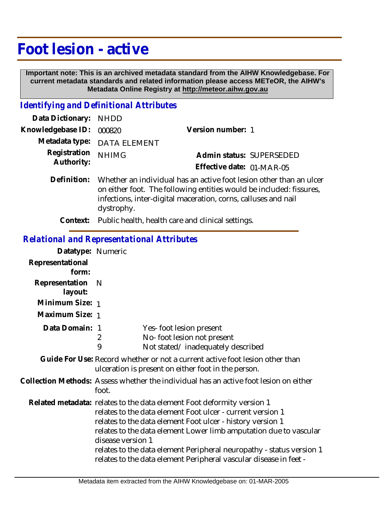# **Foot lesion - active**

 **Important note: This is an archived metadata standard from the AIHW Knowledgebase. For current metadata standards and related information please access METeOR, the AIHW's Metadata Online Registry at http://meteor.aihw.gov.au**

#### *Identifying and Definitional Attributes*

| Data Dictionary: NHDD      |                                                                                                                                                                                                              |                                                       |  |
|----------------------------|--------------------------------------------------------------------------------------------------------------------------------------------------------------------------------------------------------------|-------------------------------------------------------|--|
| Knowledgebase ID:          | 000820                                                                                                                                                                                                       | Version number: 1                                     |  |
|                            | Metadata type: DATA ELEMENT                                                                                                                                                                                  |                                                       |  |
| Registration<br>Authority: | <b>NHIMG</b>                                                                                                                                                                                                 | Admin status: SUPERSEDED<br>Effective date: 01-MAR-05 |  |
| Definition:                | Whether an individual has an active foot lesion other than an ulcer<br>on either foot. The following entities would be included: fissures,<br>infections, inter-digital maceration, corns, calluses and nail |                                                       |  |

**Context:** Public health, health care and clinical settings.

#### *Relational and Representational Attributes*

dystrophy.

| Datatype: Numeric         |                                                                                                                                                                                                                                                                                                                                                                                                                                           |  |
|---------------------------|-------------------------------------------------------------------------------------------------------------------------------------------------------------------------------------------------------------------------------------------------------------------------------------------------------------------------------------------------------------------------------------------------------------------------------------------|--|
| Representational<br>form: |                                                                                                                                                                                                                                                                                                                                                                                                                                           |  |
| Representation<br>layout: | - N                                                                                                                                                                                                                                                                                                                                                                                                                                       |  |
| Minimum Size: 1           |                                                                                                                                                                                                                                                                                                                                                                                                                                           |  |
| Maximum Size: 1           |                                                                                                                                                                                                                                                                                                                                                                                                                                           |  |
| Data Domain:              | Yes-foot lesion present<br>-1<br>No-foot lesion not present<br>2<br>9<br>Not stated/inadequately described                                                                                                                                                                                                                                                                                                                                |  |
|                           | Guide For Use: Record whether or not a current active foot lesion other than<br>ulceration is present on either foot in the person.                                                                                                                                                                                                                                                                                                       |  |
|                           | Collection Methods: Assess whether the individual has an active foot lesion on either<br>foot.                                                                                                                                                                                                                                                                                                                                            |  |
|                           | Related metadata: relates to the data element Foot deformity version 1<br>relates to the data element Foot ulcer - current version 1<br>relates to the data element Foot ulcer - history version 1<br>relates to the data element Lower limb amputation due to vascular<br>disease version 1<br>relates to the data element Peripheral neuropathy - status version 1<br>relates to the data element Peripheral vascular disease in feet - |  |